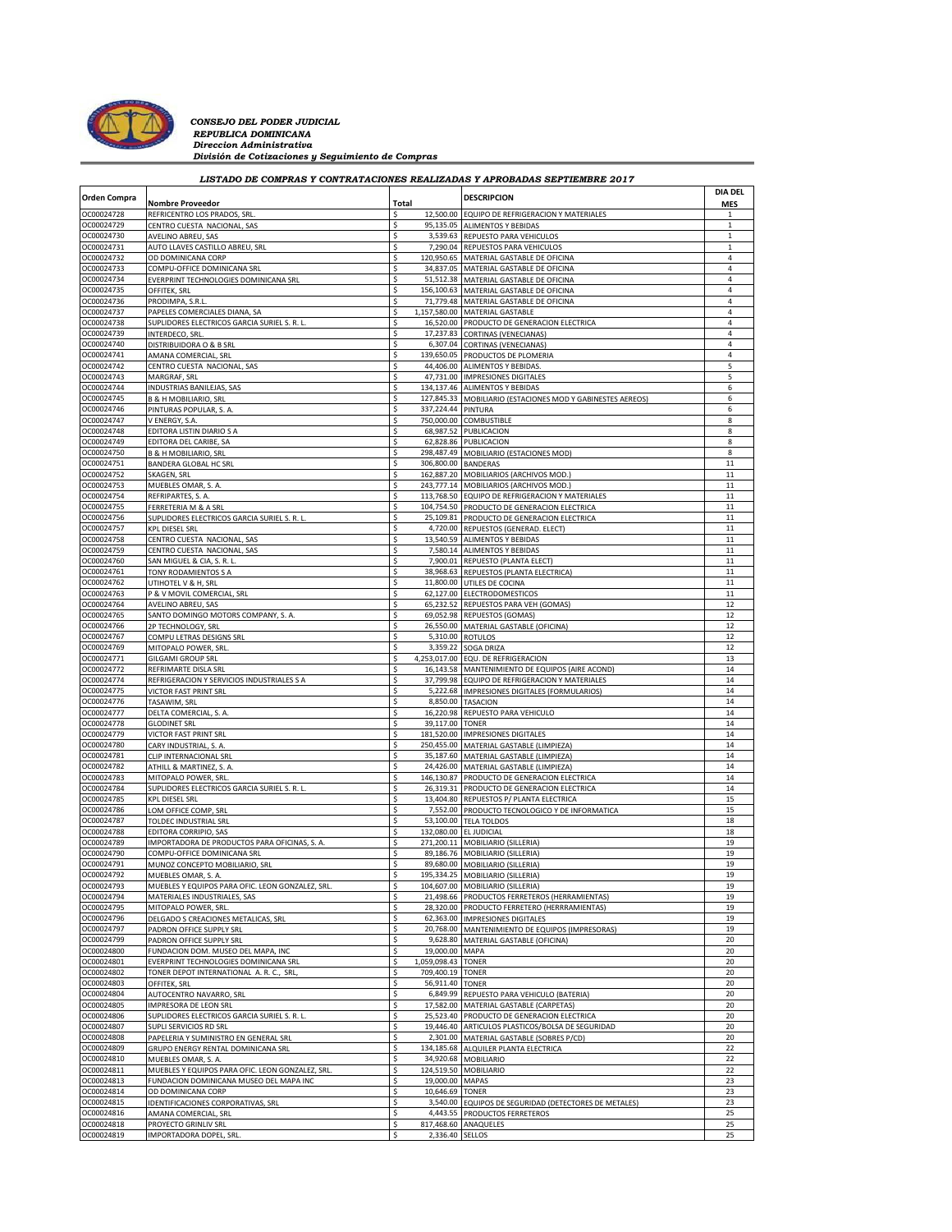

*CONSEJO DEL PODER JUDICIAL*<br>*REPUBLICA DOMINICANA*<br>*Direccion Administrativa División de Cotizaciones y Seguimiento de Compras*

|                          | LISTADO DE COMPRAS Y CONTRATACIONES REALIZADAS Y APROBADAS SEPTIEMBRE 2017 |          |                    |                                                                                                |                              |
|--------------------------|----------------------------------------------------------------------------|----------|--------------------|------------------------------------------------------------------------------------------------|------------------------------|
| <b>Orden Compra</b>      |                                                                            |          |                    | <b>DESCRIPCION</b>                                                                             | <b>DIA DEL</b>               |
|                          | <b>Nombre Proveedor</b>                                                    | Total    |                    |                                                                                                | <b>MES</b>                   |
| OC00024728               | REFRICENTRO LOS PRADOS, SRL                                                | \$       |                    | 12,500.00 EQUIPO DE REFRIGERACION Y MATERIALES                                                 | 1                            |
| OC00024729               | CENTRO CUESTA NACIONAL, SAS                                                | \$       | 95,135.05          | <b>ALIMENTOS Y BEBIDAS</b>                                                                     | $\mathbf{1}$                 |
| OC00024730<br>OC00024731 | AVELINO ABREU, SAS<br>AUTO LLAVES CASTILLO ABREU, SRL                      | \$<br>\$ |                    | 3,539.63 REPUESTO PARA VEHICULOS<br>7,290.04 REPUESTOS PARA VEHICULOS                          | $\mathbf{1}$<br>$\mathbf{1}$ |
| OC00024732               | OD DOMINICANA CORP                                                         | Ś        |                    | 120,950.65 MATERIAL GASTABLE DE OFICINA                                                        | $\overline{4}$               |
| OC00024733               | COMPU-OFFICE DOMINICANA SRL                                                | \$       |                    | 34,837.05 MATERIAL GASTABLE DE OFICINA                                                         | 4                            |
| OC00024734               | EVERPRINT TECHNOLOGIES DOMINICANA SRL                                      | S        |                    | 51,512.38 MATERIAL GASTABLE DE OFICINA                                                         | 4                            |
| OC00024735               | OFFITEK, SRL                                                               | \$       |                    | 156,100.63 MATERIAL GASTABLE DE OFICINA                                                        | $\overline{4}$               |
| OC00024736               | PRODIMPA, S.R.L                                                            | \$       |                    | 71,779.48 MATERIAL GASTABLE DE OFICINA                                                         | 4                            |
| OC00024737               | PAPELES COMERCIALES DIANA, SA                                              | \$       |                    | 1,157,580.00 MATERIAL GASTABLE                                                                 | 4                            |
| OC00024738               | SUPLIDORES ELECTRICOS GARCIA SURIEL S. R. L                                | \$       |                    | 16,520.00 PRODUCTO DE GENERACION ELECTRICA                                                     | $\overline{4}$               |
| OC00024739               | INTERDECO, SRL                                                             | \$       | 17,237.83          | <b>CORTINAS (VENECIANAS)</b>                                                                   | 4                            |
| OC00024740               | DISTRIBUIDORA O & B SRL                                                    | \$       |                    | 6,307.04 CORTINAS (VENECIANAS)                                                                 | $\overline{4}$               |
| OC00024741               | AMANA COMERCIAL, SRL                                                       | \$       |                    | 139,650.05 PRODUCTOS DE PLOMERIA                                                               | $\overline{4}$               |
| OC00024742               | CENTRO CUESTA NACIONAL, SAS                                                | \$       | 44,406.00          | ALIMENTOS Y BEBIDAS.                                                                           | 5                            |
| OC00024743               | MARGRAF, SRL                                                               | \$       |                    | 47,731.00 IMPRESIONES DIGITALES                                                                | 5                            |
| OC00024744               | INDUSTRIAS BANILEJAS, SAS                                                  | \$       |                    | 134,137.46 ALIMENTOS Y BEBIDAS                                                                 | 6                            |
| OC00024745               | B & H MOBILIARIO, SRL                                                      |          | 127,845.33         | MOBILIARIO (ESTACIONES MOD Y GABINESTES AEREOS)                                                | 6                            |
| OC00024746               | PINTURAS POPULAR, S. A.                                                    | \$       | 337,224.44 PINTURA |                                                                                                | 6                            |
| OC00024747               | V ENERGY, S.A.                                                             | S        |                    | 750,000.00 COMBUSTIBLE                                                                         | 8                            |
| OC00024748               | EDITORA LISTIN DIARIO S A                                                  |          | 68,987.52          | PUBLICACION                                                                                    | 8                            |
| OC00024749               | EDITORA DEL CARIBE, SA                                                     | \$       |                    | 62,828.86 PUBLICACION                                                                          | 8                            |
| OC00024750               | <b>B &amp; H MOBILIARIO, SRL</b>                                           | \$       |                    | 298,487.49 MOBILIARIO (ESTACIONES MOD)                                                         | 8                            |
| OC00024751               | BANDERA GLOBAL HC SRL                                                      | Ŝ        |                    | 306,800.00 BANDERAS                                                                            | 11                           |
| OC00024752               | SKAGEN, SRL<br>MUEBLES OMAR, S. A.                                         | \$       |                    | 162,887.20 MOBILIARIOS (ARCHIVOS MOD.)                                                         | 11                           |
| OC00024753<br>OC00024754 |                                                                            | \$<br>\$ |                    | 243,777.14 MOBILIARIOS (ARCHIVOS MOD.)                                                         | 11<br>11                     |
| OC00024755               | REFRIPARTES, S. A.<br>FERRETERIA M & A SRL                                 | \$       |                    | 113,768.50 EQUIPO DE REFRIGERACION Y MATERIALES<br>104,754.50 PRODUCTO DE GENERACION ELECTRICA | 11                           |
| OC00024756               | SUPLIDORES ELECTRICOS GARCIA SURIEL S. R. L                                | \$       |                    | 25,109.81 PRODUCTO DE GENERACION ELECTRICA                                                     | $11\,$                       |
| OC00024757               | KPL DIESEL SRL                                                             | Ś        |                    | 4,720.00 REPUESTOS (GENERAD. ELECT)                                                            | 11                           |
| OC00024758               | CENTRO CUESTA NACIONAL, SAS                                                | \$       |                    | 13,540.59 ALIMENTOS Y BEBIDAS                                                                  | 11                           |
| OC00024759               | CENTRO CUESTA NACIONAL, SAS                                                | S        |                    | 7,580.14 ALIMENTOS Y BEBIDAS                                                                   | 11                           |
| OC00024760               | SAN MIGUEL & CIA, S. R. L                                                  | \$       |                    | 7,900.01 REPUESTO (PLANTA ELECT)                                                               | 11                           |
| OC00024761               | TONY RODAMIENTOS S A                                                       | \$       |                    | 38,968.63 REPUESTOS (PLANTA ELECTRICA)                                                         | 11                           |
| OC00024762               | UTIHOTEL V & H, SRL                                                        | \$       |                    | 11,800.00 UTILES DE COCINA                                                                     | 11                           |
| OC00024763               | P & V MOVIL COMERCIAL, SRL                                                 | \$       |                    | 62,127.00 ELECTRODOMESTICOS                                                                    | 11                           |
| OC00024764               | AVELINO ABREU, SAS                                                         | \$       |                    | 65,232.52 REPUESTOS PARA VEH (GOMAS)                                                           | 12                           |
| OC00024765               | SANTO DOMINGO MOTORS COMPANY, S. A.                                        | \$       |                    | 69,052.98 REPUESTOS (GOMAS)                                                                    | 12                           |
| OC00024766               | 2P TECHNOLOGY, SRL                                                         | Š.       |                    | 26,550.00 MATERIAL GASTABLE (OFICINA)                                                          | 12                           |
| OC00024767               | COMPU LETRAS DESIGNS SRL                                                   | \$       | 5,310.00           | <b>ROTULOS</b>                                                                                 | 12                           |
| OC00024769               | MITOPALO POWER, SRL                                                        | \$       |                    | 3,359.22 SOGA DRIZA                                                                            | 12                           |
| OC00024771               | <b>GILGAMI GROUP SRL</b>                                                   | Š.       |                    | 4,253,017.00 EQU. DE REFRIGERACION                                                             | 13                           |
| OC00024772               | REFRIMARTE DISLA SRL                                                       |          | 16,143.58          | MANTENIMIENTO DE EQUIPOS (AIRE ACOND)                                                          | 14                           |
| OC00024774               | REFRIGERACION Y SERVICIOS INDUSTRIALES S A                                 | Ś        |                    | 37,799.98 EQUIPO DE REFRIGERACION Y MATERIALES                                                 | 14                           |
| OC00024775               | VICTOR FAST PRINT SRL                                                      | Ŝ        |                    | 5,222.68 IMPRESIONES DIGITALES (FORMULARIOS)                                                   | 14                           |
| OC00024776               | TASAWIM, SRL                                                               | \$       | 8,850.00           | <b>TASACION</b>                                                                                | 14<br>14                     |
| OC00024777               | DELTA COMERCIAL, S. A.                                                     | \$       |                    | 16,220.98 REPUESTO PARA VEHICULO                                                               | 14                           |
| OC00024778<br>OC00024779 | <b>GLODINET SRL</b><br>VICTOR FAST PRINT SRL                               |          | 39,117.00 TONER    | 181,520.00 IMPRESIONES DIGITALES                                                               | 14                           |
| OC00024780               | CARY INDUSTRIAL, S. A.                                                     | \$       |                    | 250,455.00 MATERIAL GASTABLE (LIMPIEZA)                                                        | 14                           |
| OC00024781               | CLIP INTERNACIONAL SRL                                                     | S        |                    | 35,187.60 MATERIAL GASTABLE (LIMPIEZA)                                                         | 14                           |
| OC00024782               | ATHILL & MARTINEZ, S. A.                                                   | \$       |                    | 24,426.00 MATERIAL GASTABLE (LIMPIEZA)                                                         | 14                           |
| OC00024783               | MITOPALO POWER, SRL                                                        | \$       | 146.130.87         | PRODUCTO DE GENERACION ELECTRICA                                                               | 14                           |
| OC00024784               | SUPLIDORES ELECTRICOS GARCIA SURIEL S. R. L.                               | \$       |                    | 26,319.31 PRODUCTO DE GENERACION ELECTRICA                                                     | 14                           |
| OC00024785               | KPL DIESEL SRL                                                             | Ś        |                    | 13,404.80 REPUESTOS P/ PLANTA ELECTRICA                                                        | 15                           |
| OC00024786               | LOM OFFICE COMP, SRL                                                       | \$       |                    | 7,552.00 PRODUCTO TECNOLOGICO Y DE INFORMATICA                                                 | 15                           |
| OC00024787               | TOLDEC INDUSTRIAL SRL                                                      | \$       |                    | 53,100.00 TELA TOLDOS                                                                          | 18                           |
| OC00024788               | EDITORA CORRIPIO, SAS                                                      | Ś        |                    | 132,080.00 EL JUDICIAL                                                                         | 18                           |
| OC00024789               | IMPORTADORA DE PRODUCTOS PARA OFICINAS, S. A.                              | \$       |                    | 271,200.11 MOBILIARIO (SILLERIA)                                                               | 19                           |
| OC00024790               | COMPU-OFFICE DOMINICANA SRL                                                | \$       |                    | 89,186.76 MOBILIARIO (SILLERIA)                                                                | 19                           |
| OC00024791               | MUNOZ CONCEPTO MOBILIARIO, SRL                                             | \$       |                    | 89,680.00 MOBILIARIO (SILLERIA)                                                                | 19                           |
| JUUUZ47                  | MUEBLES UMAR.                                                              |          |                    | I MOBILIARIO ISILLERIA                                                                         |                              |
| OC00024793               | MUEBLES Y EQUIPOS PARA OFIC. LEON GONZALEZ, SRL                            | \$       |                    | 104,607.00 MOBILIARIO (SILLERIA)                                                               | 19                           |
| OC00024794               | MATERIALES INDUSTRIALES, SAS                                               | \$       |                    | 21,498.66 PRODUCTOS FERRETEROS (HERRAMIENTAS)                                                  | 19                           |
| OC00024795               | MITOPALO POWER, SRL                                                        | \$       | 28,320.00          | PRODUCTO FERRETERO (HERRRAMIENTAS)                                                             | 19                           |
| OC00024796               | DELGADO S CREACIONES METALICAS, SRL                                        | \$       |                    | 62,363.00 IMPRESIONES DIGITALES                                                                | 19                           |
| OC00024797               | PADRON OFFICE SUPPLY SRL                                                   | \$       |                    | 20,768.00 MANTENIMIENTO DE EQUIPOS (IMPRESORAS)                                                | 19                           |
| OC00024799               | PADRON OFFICE SUPPLY SRL                                                   |          | 9,628.80           | MATERIAL GASTABLE (OFICINA)                                                                    | 20                           |
| OC00024800               | FUNDACION DOM. MUSEO DEL MAPA, INC                                         | Ś        | 19,000.00 MAPA     |                                                                                                | 20                           |
| OC00024801               | EVERPRINT TECHNOLOGIES DOMINICANA SRL                                      | S        | 1,059,098.43 TONER |                                                                                                | 20                           |
| OC00024802               | TONER DEPOT INTERNATIONAL A. R. C., SRL                                    |          | 709,400.19         | <b>TONER</b>                                                                                   | 20<br>20                     |
| OC00024803<br>OC00024804 | OFFITEK, SRL                                                               | \$<br>\$ | 56,911.40 TONER    | 6,849.99 REPUESTO PARA VEHICULO (BATERIA)                                                      | 20                           |
| OC00024805               | AUTOCENTRO NAVARRO, SRL<br>IMPRESORA DE LEON SRL                           |          | 17,582.00          | MATERIAL GASTABLE (CARPETAS)                                                                   | 20                           |
| OC00024806               | SUPLIDORES ELECTRICOS GARCIA SURIEL S. R. L                                | \$       |                    | 25,523.40 PRODUCTO DE GENERACION ELECTRICA                                                     | 20                           |
| OC00024807               | SUPLI SERVICIOS RD SRL                                                     | \$       |                    | 19,446.40 ARTICULOS PLASTICOS/BOLSA DE SEGURIDAD                                               | 20                           |
| OC00024808               | PAPELERIA Y SUMINISTRO EN GENERAL SRL                                      | \$       |                    | 2,301.00 MATERIAL GASTABLE (SOBRES P/CD)                                                       | 20                           |
| OC00024809               | GRUPO ENERGY RENTAL DOMINICANA SRL                                         | \$       |                    | 134,185.68 ALQUILER PLANTA ELECTRICA                                                           | 22                           |
| OC00024810               | MUEBLES OMAR, S. A.                                                        | \$       |                    | 34,920.68 MOBILIARIO                                                                           | 22                           |
| OC00024811               | MUEBLES Y EQUIPOS PARA OFIC. LEON GONZALEZ, SRL                            | \$       | 124,519.50         | <b>MOBILIARIO</b>                                                                              | 22                           |
| OC00024813               | FUNDACION DOMINICANA MUSEO DEL MAPA INC                                    | \$       | 19,000.00 MAPAS    |                                                                                                | 23                           |
| OC00024814               | OD DOMINICANA CORP                                                         | \$       | 10,646.69 TONER    |                                                                                                | 23                           |
| OC00024815               | IDENTIFICACIONES CORPORATIVAS, SRL                                         | Ś        |                    | 3,540.00 EQUIPOS DE SEGURIDAD (DETECTORES DE METALES)                                          | 23                           |
| OC00024816               | AMANA COMERCIAL, SRL                                                       | \$       |                    | 4,443.55 PRODUCTOS FERRETEROS                                                                  | 25                           |
| OC00024818               | PROYECTO GRINLIV SRL                                                       | \$       |                    | 817,468.60 ANAQUELES                                                                           | 25                           |
| OC00024819               | IMPORTADORA DOPEL, SRL                                                     | \$       | 2,336.40 SELLOS    |                                                                                                | 25                           |